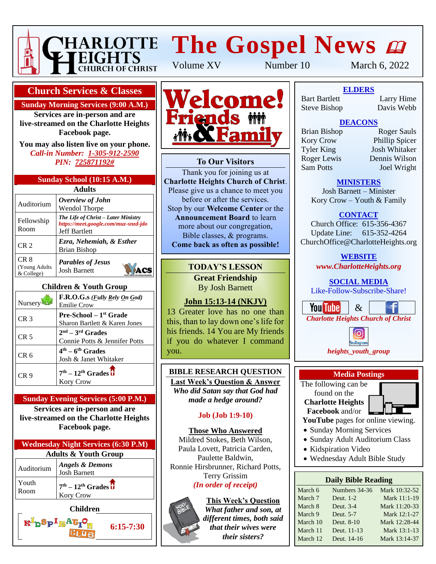

# **HARLOTTE The Gospel News @**

**Church Services & Classes**

**Sunday Morning Services (9:00 A.M.)**

**Services are in-person and are live-streamed on the Charlotte Heights Facebook page.**

**You may also listen live on your phone.** *Call-in Number: 1-305-912-2590 PIN: 725871192#*

| Sunday School (10:15 A.M.) |  |
|----------------------------|--|
|                            |  |

| Adults                               |                                                                                                     |  |  |
|--------------------------------------|-----------------------------------------------------------------------------------------------------|--|--|
| Auditorium                           | Overview of John<br><b>Wendol Thorpe</b>                                                            |  |  |
| Fellowship<br>Room                   | The Life of Christ – Later Ministry<br>https://meet.google.com/muz-snzd-jdo<br><b>Jeff Bartlett</b> |  |  |
| CR <sub>2</sub>                      | Ezra, Nehemiah, & Esther<br>Brian Bishop                                                            |  |  |
| CR 8<br>(Young Adults)<br>& College) | <b>Parables of Jesus</b><br><b>Josh Barnett</b>                                                     |  |  |

#### **Children & Youth Group**

| Nursery         | F.R.O.G.s ( <i>Fully Rely On God</i> )<br><b>Emilie Crow</b>    |
|-----------------|-----------------------------------------------------------------|
| CR <sub>3</sub> | <b>Pre-School</b> $-1st$ Grade<br>Sharon Bartlett & Karen Jones |
| CR 5            | $2nd - 3rd$ Grades<br>Connie Potts & Jennifer Potts             |
| CR 6            | $4th - 6th$ Grades<br>Josh & Janet Whitaker                     |
| CR 9            | $7th - 12th$ Grades $\overline{U}$<br><b>Kory Crow</b>          |

# **Sunday Evening Services (5:00 P.M.)**

**Services are in-person and are live-streamed on the Charlotte Heights Facebook page.**



**R**bSplgAtr

**6:15-7:30**



## **To Our Visitors**

Thank you for joining us at **Charlotte Heights Church of Christ**. Please give us a chance to meet you before or after the services. Stop by our **Welcome Center** or the **Announcement Board** to learn more about our congregation, Bible classes, & programs. **Come back as often as possible!**

## **TODAY'S LESSON**

**Great Friendship** By Josh Barnett

# **John 15:13-14 (NKJV)**

13 Greater love has no one than this, than to lay down one's life for his friends. 14 You are My friends if you do whatever I command you.

#### **BIBLE RESEARCH QUESTION Last Week's Question & Answer**

*Who did Satan say that God had made a hedge around?*

## **Job (Job 1:9-10)**

## **Those Who Answered**

Mildred Stokes, Beth Wilson, Paula Lovett, Patricia Carden, Paulette Baldwin, Ronnie Hirsbrunner, Richard Potts, Terry Grissim *(In order of receipt)*

#### **This Week's Question** *What father and son, at*

*that their wives were their sisters?*



Volume XV Number 10 March 6, 2022

**To Our Visitors ELDERS** Steve Bishop Davis Webb Bart Bartlett

Larry Hime<br>Davis Webb

# **DEACONS**

Extends by Origin Bishop<br> **Kory Crow** Phillip Spicer **Announcement Board Lines**<br>
Tyler King Josh Whitaker more about the congregation of the Roger Lewis Dennis Wilson Bible classes, & programs. Sam Potts Joel Wright **Commentary Comment as a society of the post of the property of the set of the set of the set of the set of the set of the set of the set of the set of the set of the set of the set of the set of the set of the set of the** 

Brian Bishop Roger Sauls

## **MINISTERS**

Josh Barnett – Minister Kory Crow – Youth & Family

## **CONTACT**

Church Office: 615-356-4367 Update Line: 615-352-4264 ChurchOffice@CharlotteHeights.org

**WEBSITE**

*www.CharlotteHeights.org*

**SOCIAL MEDIA** Like-Follow-Subscribe-Share!





## **Media Postings**

The following can be found on the **Charlotte Heights Facebook** and/or

**YouTube** pages for online viewing.

- Sunday Morning Services
- Sunday Adult Auditorium Class
- Kidspiration Video
- Wednesday Adult Bible Study

## **Daily Bible Reading**

| March 6  | Numbers 34-36 | Mark 10:32-52 |
|----------|---------------|---------------|
| March 7  | Deut. 1-2     | Mark 11:1-19  |
| March 8  | Deut. 3-4     | Mark 11:20-33 |
| March 9  | Deut. 5-7     | Mark 12:1-27  |
| March 10 | Deut. 8-10    | Mark 12:28-44 |
| March 11 | Deut. 11-13   | Mark 13:1-13  |
| March 12 | Deut. 14-16   | Mark 13:14-37 |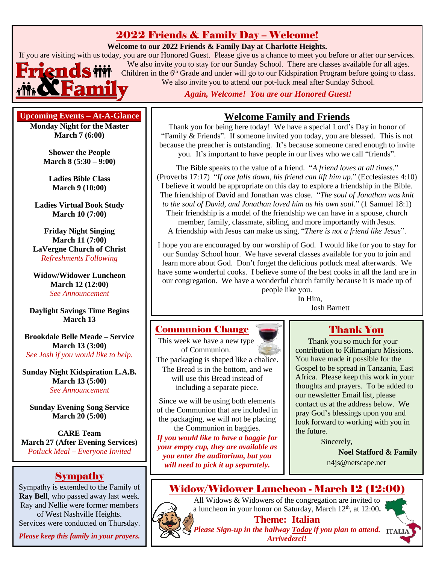# 2022 Friends & Family Day – Welcome!

#### **Welcome to our 2022 Friends & Family Day at Charlotte Heights.**

If you are visiting with us today, you are our Honored Guest. Please give us a chance to meet you before or after our services.



We also invite you to stay for our Sunday School. There are classes available for all ages. Children in the 6<sup>th</sup> Grade and under will go to our Kidspiration Program before going to class. We also invite you to attend our pot-luck meal after Sunday School.

*Again, Welcome! You are our Honored Guest!*

## **Upcoming Events – At-A-Glance**

**Monday Night for the Master March 7 (6:00)**

> **Shower the People March 8 (5:30 – 9:00)**

**Ladies Bible Class March 9 (10:00)**

**Ladies Virtual Book Study March 10 (7:00)**

**Friday Night Singing March 11 (7:00) LaVergne Church of Christ** *Refreshments Following*

**Widow/Widower Luncheon March 12 (12:00)** *See Announcement*

**Daylight Savings Time Begins March 13**

**Brookdale Belle Meade – Service March 13 (3:00)** *See Josh if you would like to help.*

**Sunday Night Kidspiration L.A.B. March 13 (5:00)** *See Announcement*

**Sunday Evening Song Service March 20 (5:00)**

**CARE Team March 27 (After Evening Services)** *Potluck Meal – Everyone Invited*

## Sympathy

Sympathy is extended to the Family of **Ray Bell**, who passed away last week. Ray and Nellie were former members of West Nashville Heights. Services were conducted on Thursday.

*Please keep this family in your prayers.*

## **Welcome Family and Friends**

Thank you for being here today! We have a special Lord's Day in honor of "Family & Friends". If someone invited you today, you are blessed. This is not because the preacher is outstanding. It's because someone cared enough to invite you. It's important to have people in our lives who we call "friends".

The Bible speaks to the value of a friend. "*A friend loves at all times.*" (Proverbs 17:17) "*If one falls down, his friend can lift him up.*" (Ecclesiastes 4:10) I believe it would be appropriate on this day to explore a friendship in the Bible. The friendship of David and Jonathan was close. "*The soul of Jonathan was knit to the soul of David, and Jonathan loved him as his own soul.*" (1 Samuel 18:1) Their friendship is a model of the friendship we can have in a spouse, church member, family, classmate, sibling, and more importantly with Jesus. A friendship with Jesus can make us sing, "*There is not a friend like Jesus*".

I hope you are encouraged by our worship of God. I would like for you to stay for our Sunday School hour. We have several classes available for you to join and learn more about God. Don't forget the delicious potluck meal afterwards. We have some wonderful cooks. I believe some of the best cooks in all the land are in our congregation. We have a wonderful church family because it is made up of people like you.

In Him, Josh Barnett

## Communion Change

This week we have a new type of Communion. The packaging is shaped like a chalice. The Bread is in the bottom, and we will use this Bread instead of including a separate piece.

Since we will be using both elements of the Communion that are included in the packaging, we will not be placing the Communion in baggies.

*If you would like to have a baggie for your empty cup, they are available as you enter the auditorium, but you will need to pick it up separately.*

# Thank You

Thank you so much for your contribution to Kilimanjaro Missions. You have made it possible for the Gospel to be spread in Tanzania, East Africa. Please keep this work in your thoughts and prayers. To be added to our newsletter Email list, please contact us at the address below. We pray God's blessings upon you and look forward to working with you in the future.

Sincerely,

**Noel Stafford & Family** n4js@netscape.net



All Widows & Widowers of the congregation are invited to a luncheon in your honor on Saturday, March 12th , at 12:00**. Theme: Italian** *Please Sign-up in the hallway Today if you plan to attend. Arrivederci!*

Widow/Widower Luncheon - March 12 (12:00)

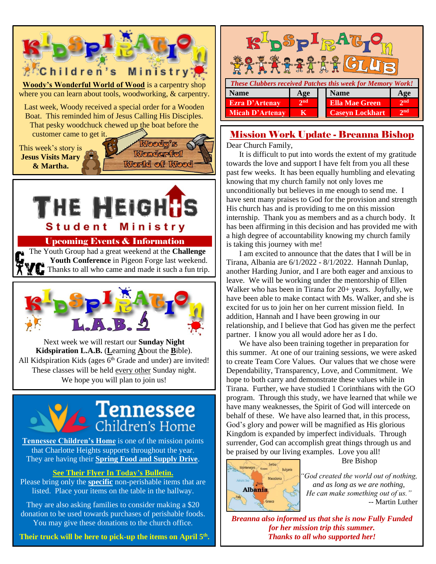

They are also asking families to consider making a \$20 donation to be used towards purchases of perishable foods. You may give these donations to the church office.

**Their truck will be here to pick-up the items on April 5 th .**

| Splph<br><b>FALL</b>                                              |                 |                                           |  |  |  |
|-------------------------------------------------------------------|-----------------|-------------------------------------------|--|--|--|
| <b>These Clubbers received Patches this week for Memory Work!</b> |                 |                                           |  |  |  |
| <b>Name</b>                                                       | Age             | <b>Name</b><br>Age                        |  |  |  |
| <b>Ezra D'Artenay</b>                                             | 2 <sub>nd</sub> | 2 <sub>nd</sub><br><b>Ella Mae Green</b>  |  |  |  |
| Micah D'Artenay                                                   | к               | 2 <sub>nd</sub><br><b>Caseyn Lockhart</b> |  |  |  |

# Mission Work Update - Breanna Bishop

Dear Church Family,

It is difficult to put into words the extent of my gratitude towards the love and support I have felt from you all these past few weeks. It has been equally humbling and elevating knowing that my church family not only loves me unconditionally but believes in me enough to send me. I have sent many praises to God for the provision and strength His church has and is providing to me on this mission internship. Thank you as members and as a church body. It has been affirming in this decision and has provided me with a high degree of accountability knowing my church family is taking this journey with me!

I am excited to announce that the dates that I will be in Tirana, Albania are 6/1/2022 - 8/1/2022. Hannah Dunlap, another Harding Junior, and I are both eager and anxious to leave. We will be working under the mentorship of Ellen Walker who has been in Tirana for 20+ years. Joyfully, we have been able to make contact with Ms. Walker, and she is excited for us to join her on her current mission field. In addition, Hannah and I have been growing in our relationship, and I believe that God has given me the perfect partner. I know you all would adore her as I do.

We have also been training together in preparation for this summer. At one of our training sessions, we were asked to create Team Core Values. Our values that we chose were Dependability, Transparency, Love, and Commitment. We hope to both carry and demonstrate these values while in Tirana. Further, we have studied 1 Corinthians with the GO program. Through this study, we have learned that while we have many weaknesses, the Spirit of God will intercede on behalf of these. We have also learned that, in this process, God's glory and power will be magnified as His glorious Kingdom is expanded by imperfect individuals. Through surrender, God can accomplish great things through us and be praised by our living examples. Love you all!



Bre Bishop

*"God created the world out of nothing, and as long as we are nothing, He can make something out of us."* -- Martin Luther

*Breanna also informed us that she is now Fully Funded for her mission trip this summer. Thanks to all who supported her!*